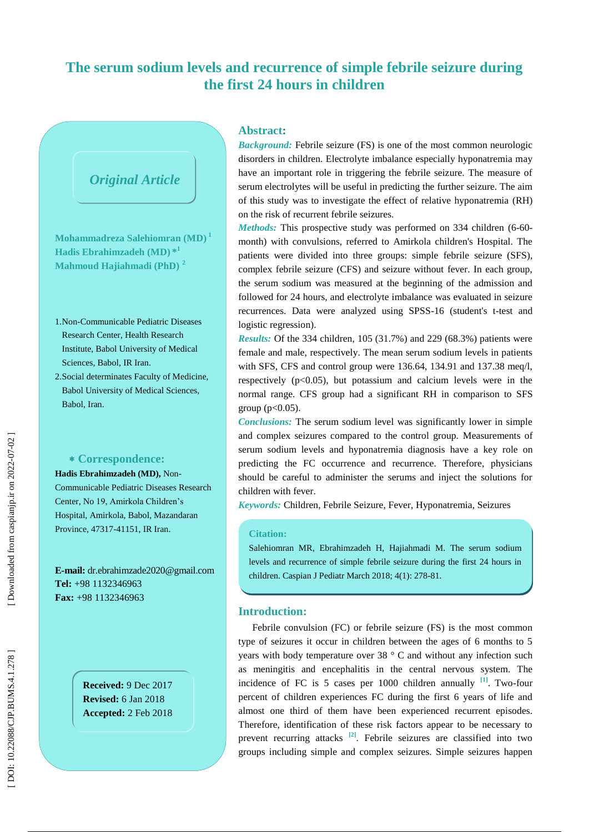## **The serum sodium levels and recurrence of simple febrile seizure during the first 24 hours in children**

# *Original Article*

**Mohammadreza Salehiomran (MD) 1 Hadis Ebrahimzadeh (MD) \* 1 Mahmoud Hajiahmadi (PhD) 2**

- 1 .Non -Communicable Pediatric Diseases Research Center, Health Research Institute, Babol University of Medical Sciences, Babol, IR Iran.
- 2 .Social determinates Faculty of Medicine, Babol University of Medical Sciences, Babol, Iran.

#### **Correspondence:**

**Hadis Ebrahimzadeh (MD),** Non - Communicable Pediatric Diseases Research Center, N o 19, Amirkola Children's Hospital, Amirkola, Babol, Mazandaran Province, 47317 -41151, IR Iran.

**E -mail:**  dr.ebrahimzade2020 @gmail.com **Tel:** +98 113 2346963 **Fax:** +98 113 2346963

> **Received:**  9 Dec 201 7 **Revised:**  6 Jan 201 8 **Accepted:**  2 Feb 201 8

### **Abstract :**

*Background:* Febrile seizure (FS) is one of the most common neurologic disorders in children. Electrolyte imbalance especially hyponatremia may have an important role in triggering the febrile seizure. The measure of serum electrolytes will be useful in predicting the further seizure. The aim of this study was to investigate the effect of relative hyponatremia (RH) on the risk of recurrent febrile seizures.

Methods: This prospective study was performed on 334 children (6-60month) with convulsions, referred to Amirkola children's Hospital. The patients were divided into three groups: simple febrile seizure (SFS ), complex febrile seizure (CFS ) and seizure without fever. In each group, the serum sodium was measured at the beginning of the admission and followed for 24 hours, and electrolyte imbalance was evaluated in seizure recurrences. Data were analyzed using SPSS -16 (student's t -test and logistic regression) .

*Results:* Of the 334 children, 105 (31.7%) and 229 (68.3%) patients were female and male, respectively. The mean serum sodium levels in patients with SFS, CFS and control group were 136.64, 134.91 and 137.38 meq/l, respectively  $(p<0.05)$ , but potassium and calcium levels were in the normal range. CFS group had a significant RH in comparison to SFS group ( $p<0.05$ ).

*Conclusions:* The serum sodium level was significantly lower in simple and complex seizures compared to the control group. Measurements of serum sodium levels and hyponatremia diagnosis have a key role on predicting the FC occurrence and recurrence. Therefore, physicians should be careful to administer the serums and inject the solutions for children with fever.

*Keywords:* Children, Febrile Seizure, Fever, Hyponatremia, Seizures

#### **Citation:**

Salehiomran MR, Ebrahimzadeh H, Hajiahmadi M. The serum sodium levels and recurrence of simple febrile seizure during the first 24 hours in children. Caspian J Pediatr March 2018; 4(1): 278-81.

## **Introduction:**

Febrile convulsion (FC) or febrile seizure (FS) is the most common type of seizures it occur in children between the ages of 6 months to 5 years with body temperature over 38 ° C and without any infection such as meningitis and encephalitis in the central nervous system. The incidence of FC is 5 cases per  $1000$  children annually  $\begin{bmatrix} 1 \end{bmatrix}$ . Two-four percent of children experiences FC during the first 6 years of life and almost one third of them have been experienced recurrent episodes. Therefore, identification of these risk factors appear to be necessary to prevent recurring attacks  $[2]$ . Febrile seizures are classified into two groups including simple and complex seizures. Simple seizures happen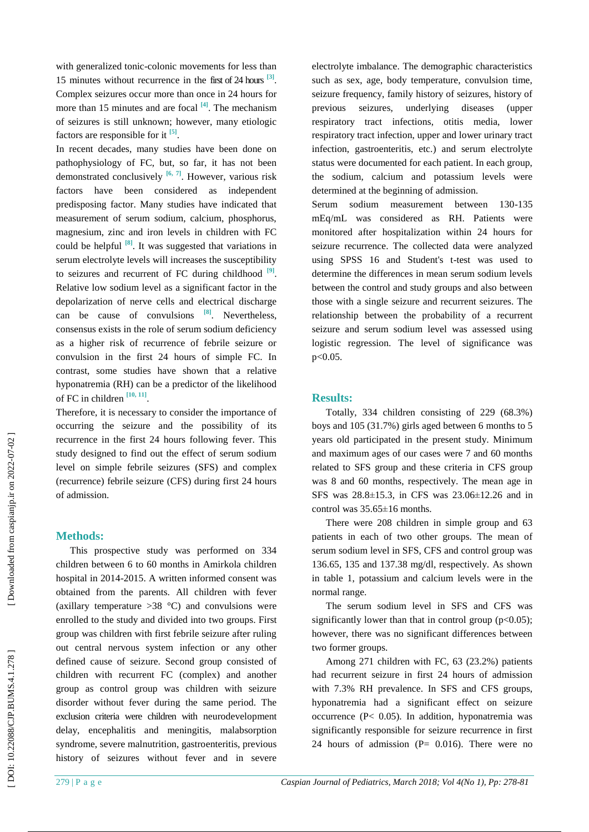with generalized tonic-colonic movements for less than 15 minutes without recurrence in the first of 24 hours **[ 3 ]** . Complex seizures occur more than once in 24 hours for more than 15 minutes and are focal **[4]**. The mechanism of seizures is still unknown; however, many etiologic factors are responsible for it  $\left[^{5} \right]$ .

In recent decades, many studies have been done on pathophysiology of FC, but, so far, it has not been demonstrated conclusively **[6, 7]**. However, various risk factors have been considered as independent predisposing factor. Many studies have indicated that measurement of serum sodium, calcium, phosphorus, magnesium, zinc and iron levels in children with FC could be helpful **[8]**. It was suggested that variations in serum electrolyte levels will increases the susceptibility to seizures and recurrent of FC during childhood  $[9]$ . Relative low sodium level as a significant factor in the depolarization of nerve cells and electrical discharge can be cause of convulsions **[8]**. Nevertheless, consensus exists in the role of serum sodium deficiency as a higher risk of recurrence of febrile seizure or convulsion in the first 24 hours of simple FC. In contrast, some studies have shown that a relative hyponatremia (RH) can be a predictor of the likelihood of FC in children **[10, 11]** .

Therefore, it is necessary to consider the importance of occurring the seizure and the possibility of its recurrence in the first 24 hours following fever. This study designed to find out the effect of serum sodium level on simple febrile seizures (SFS) and complex (recurrence) febrile seizure (CFS) during first 24 hours of admission.

#### **Methods:**

This prospective study was performed on 334 children between 6 to 60 months in Amirkola children hospital in 2014 -2015. A written informed consent was obtained from the parents. All children with fever (axillary temperature  $>38$  °C) and convulsions were enrolled to the study and divided into two groups. First group was children with first febrile seizure after ruling out central nervous system infection or any other defined cause of seizure. Second group consisted of children with recurrent FC (complex) and another group as control group was children with seizure disorder without fever during the same period. The exclusion criteria were children with neurodevelopment delay, encephalitis and meningitis, malabsorption syndrome, severe malnutrition, gastroenteritis, previous history of seizures without fever and in severe

electrolyte imbalance. The demographic characteristics such as sex, age, body temperature, convulsion time, seizure frequency, family history of seizures, history of previous seizures, underlying diseases (upper respiratory tract infections, otitis media, lower respiratory tract infection, upper and lower urinary tract infection, gastroenteritis, etc.) and serum electrolyte status were documented for each patient. In each group, the sodium, calcium and potassium levels were determined at the beginning of admission.

Serum sodium measurement between 130 -135 mEq/mL was considered as RH. Patients were monitored after hospitalization within 24 hours for seizure recurrence. The collected data were analyzed using SPSS 16 and Student's t -test was used to determine the differences in mean serum sodium levels between the control and study groups and also between those with a single seizure and recurrent seizures. The relationship between the probability of a recurrent seizure and serum sodium level was assessed using logistic regression. The level of significance was p<0.05.

## **Results:**

Totally, 334 children consisting of 229 (68.3%) boys and 105 (31.7%) girls aged between 6 months to 5 years old participated in the present study. Minimum and maximum ages of our cases were 7 and 60 months related to SFS group and these criteria in CFS group was 8 and 60 months, respectively. The mean age in SFS was 28.8 ±15.3, in CFS was 23.06 ±12.26 and in control was 35.6 5 ±16 months.

There were 208 children in simple group and 63 patients in each of two other groups. The mean of serum sodium level in SFS, CFS and control group was 136.65, 135 and 137.38 mg/dl, respectively. As shown in table 1, potassium and calcium levels were in the normal range.

The serum sodium level in SFS and CFS was significantly lower than that in control group  $(p<0.05)$ ; however, there was no significant differences between two former groups.

Among 271 children with FC, 63 (23.2%) patients had recurrent seizure in first 24 hours of admission with 7.3% RH prevalence. In SFS and CFS groups, hyponatremia had a significant effect on seizure occurrence (P< 0.05). In addition, hyponatremia was significantly responsible for seizure recurrence in first 24 hours of admission  $(P= 0.016)$ . There were no

DOI: 10.22088/CJP.BUMS.4.1.278]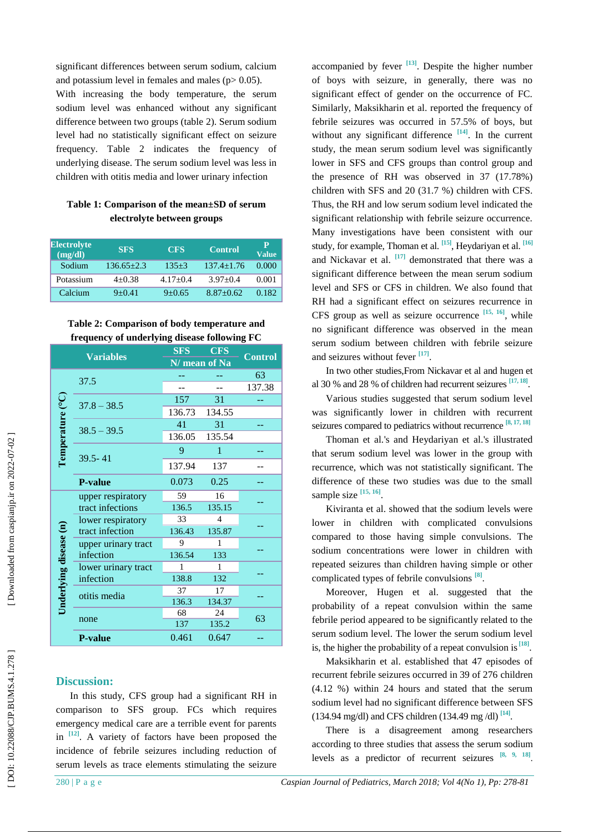significant differences between serum sodium, calcium and potassium level in females and males ( $p > 0.05$ ).

With increasing the body temperature, the serum sodium level was enhanced without any significant difference between two groups (table 2). Serum sodium level had no statistically significant effect on seizure frequency. Table 2 indicates the frequency of underlying disease. The serum sodium level was less in children with otitis media and lower urinary infection

#### **Table 1: Comparison of the mean±SD of serum electrolyte between groups**

| <b>Electrolyte</b><br>(mg/dl) | <b>SFS</b>     | <b>CFS</b> | <b>Control</b> | $\mathbf{P}$<br><b>Value</b> |
|-------------------------------|----------------|------------|----------------|------------------------------|
| Sodium                        | $136.65 + 2.3$ | $135+3$    | $137.4 + 1.76$ | 0.000                        |
| Potassium                     | $4+0.38$       | $4.17+0.4$ | $3.97+0.4$     | 0.001                        |
| Calcium                       | $9 + 0.41$     | $9+0.65$   | $8.87 + 0.62$  | 0.182                        |

**Table 2: Comparison of body temperature and frequency of underlying disease following FC** 

| <b>Variables</b>       |                                       | SFS           | <b>CFS</b>     |                |  |
|------------------------|---------------------------------------|---------------|----------------|----------------|--|
|                        |                                       | N/ mean of Na |                | <b>Control</b> |  |
| Temperature (°C)       |                                       |               |                | 63             |  |
|                        | 37.5                                  |               |                | 137.38         |  |
|                        | $37.8 - 38.5$                         | 157           | 31             |                |  |
|                        |                                       | 136.73        | 134.55         |                |  |
|                        | $38.5 - 39.5$                         | 41            | 31             |                |  |
|                        |                                       | 136.05        | 135.54         |                |  |
|                        | 39.5-41                               | 9             | $\mathbf{1}$   |                |  |
|                        |                                       | 137.94        | 137            |                |  |
|                        | <b>P-value</b>                        | 0.073         | 0.25           |                |  |
| Underlying disease (n) | upper respiratory<br>tract infections | 59            | 16             |                |  |
|                        |                                       | 136.5         | 135.15         |                |  |
|                        | lower respiratory                     | 33            | $\overline{4}$ |                |  |
|                        | tract infection                       | 136.43        | 135.87         |                |  |
|                        | upper urinary tract                   | 9             | 1              |                |  |
|                        | infection                             | 136.54        | 133            |                |  |
|                        | lower urinary tract                   | 1             | 1              |                |  |
|                        | infection                             | 138.8         | 132            |                |  |
|                        | otitis media                          | 37            | 17             |                |  |
|                        |                                       | 136.3         | 134.37         |                |  |
|                        | none                                  | 68            | 24             | 63             |  |
|                        |                                       | 137           | 135.2          |                |  |
|                        | <b>P-value</b>                        | 0.461         | 0.647          |                |  |

#### **Discussion:**

In this study, CFS group had a significant RH in comparison to SFS group. FCs which requires emergency medical care are a terrible event for parents in  $[12]$ . A variety of factors have been proposed the incidence of febrile seizures including reduction of serum levels as trace elements stimulating the seizure

accompanied by fever  $\begin{bmatrix} 13 \end{bmatrix}$ . Despite the higher number of boys with seizure, in generally, there was no significant effect of gender on the occurrence of FC. Similarly, Maksikharin et al. reported the frequency of febrile seizures was occurred in 57.5% of boys, but without any significant difference <sup>[14]</sup>. In the current study, the mean serum sodium level was significantly lower in SFS and CFS groups than control group and the presence of RH was observed in 37 (17.78%) children with SFS and 20 (31.7 %) children with CFS. Thus, the RH and low serum sodium level indicated the significant relationship with febrile seizure occurrence. Many investigations have been consistent with our study, for example, Thoman et al. <sup>[15]</sup>, Heydariyan et al. <sup>[16]</sup> and Nickavar et al. <sup>[17]</sup> demonstrated that there was a significant difference between the mean serum sodium level and SFS or CFS in children. We also found that RH had a significant effect on seizures recurrence in CFS group as well as seizure occurrence  $^{[15, 16]}$ , while no significant difference was observed in the mean serum sodium between children with febrile seizure and seizures without fever <sup>[17]</sup>.

In two other studies,From Nickavar et al and hugen et al 30 % and 28 % of children had recurrent seizures  $[17, 18]$ .

Various studies suggested that serum sodium level was significantly lower in children with recurrent seizures compared to pediatrics without recurrence  $[8, 17, 18]$ 

Thoman et al.'s and Heydariyan et al.'s illustrated that serum sodium level was lower in the group with recurrence, which was not statistically significant. The difference of these two studies was due to the small sample size  $[15, 16]$ .

Kiviranta et al. showed that the sodium levels were lower in children with complicated convulsions compared to those having simple convulsions . The sodium concentrations were lower in children with repeated seizures than children having simple or other complicated types of febrile convulsions **[ 8 ]** .

Moreover, Hugen et al . suggested that the probability of a repeat convulsion within the same febrile period appeared to be significantly related to the serum sodium level. The lower the serum sodium level is, the higher the probability of a repeat convulsion is <sup>[18]</sup>.

Maksikharin et al. established that 47 episodes of recurrent febrile seizures occurred in 39 of 276 children (4.12 %) within 24 hours and stated that the serum sodium level had no significant difference between SFS (134.94 mg/dl) and CFS children (134.49 mg /dl) **[14 ]** .

There is a disagreement among researchers according to three studies that assess the serum sodium levels as a predictor of recurrent seizures  $[8, 9, 18]$ .

280 | P a g e *Caspian Journal of Pediatrics, March 201 8; Vol 4(No 1), Pp: 2 78 -81*